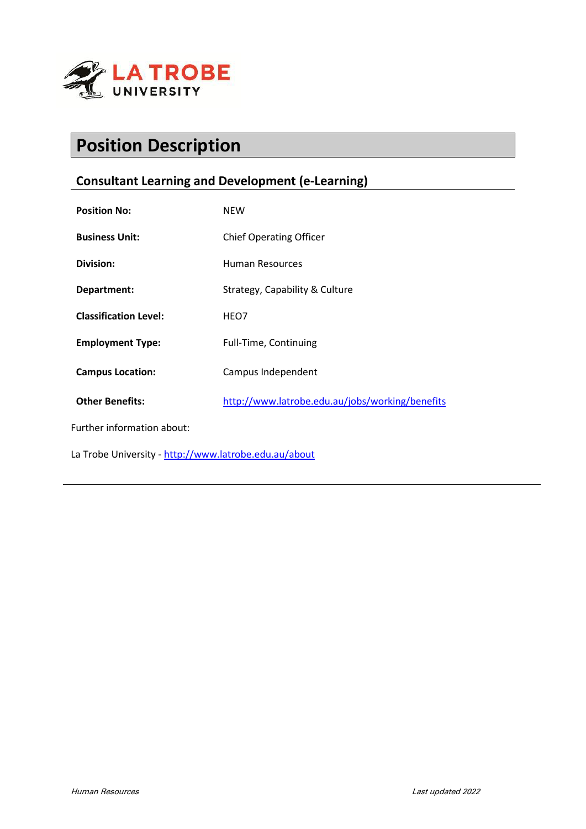

# **Position Description**

# **Consultant Learning and Development (e-Learning)**

| <b>Position No:</b>                                   | <b>NEW</b>                                      |
|-------------------------------------------------------|-------------------------------------------------|
| <b>Business Unit:</b>                                 | <b>Chief Operating Officer</b>                  |
| Division:                                             | Human Resources                                 |
| Department:                                           | Strategy, Capability & Culture                  |
| <b>Classification Level:</b>                          | HEO7                                            |
| <b>Employment Type:</b>                               | Full-Time, Continuing                           |
| <b>Campus Location:</b>                               | Campus Independent                              |
| <b>Other Benefits:</b>                                | http://www.latrobe.edu.au/jobs/working/benefits |
| Further information about:                            |                                                 |
| La Trobe University - http://www.latrobe.edu.au/about |                                                 |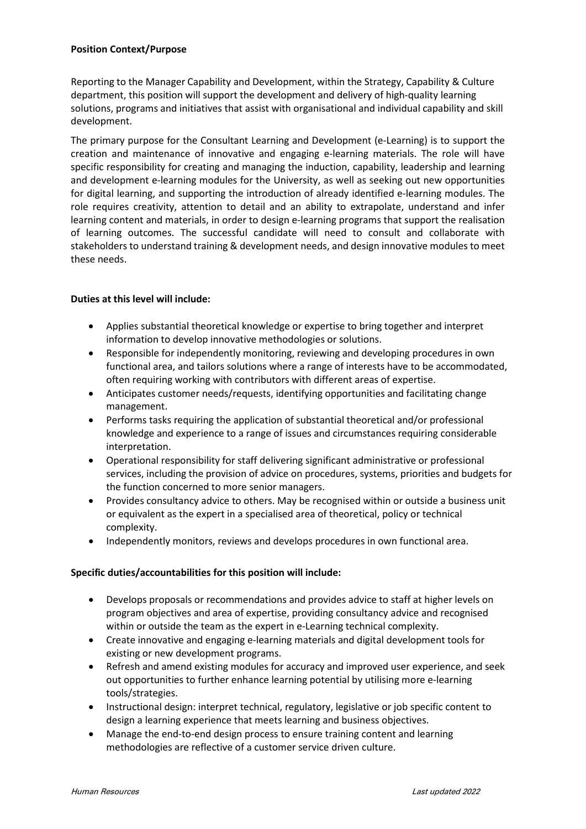#### **Position Context/Purpose**

Reporting to the Manager Capability and Development, within the Strategy, Capability & Culture department, this position will support the development and delivery of high-quality learning solutions, programs and initiatives that assist with organisational and individual capability and skill development.

The primary purpose for the Consultant Learning and Development (e-Learning) is to support the creation and maintenance of innovative and engaging e-learning materials. The role will have specific responsibility for creating and managing the induction, capability, leadership and learning and development e-learning modules for the University, as well as seeking out new opportunities for digital learning, and supporting the introduction of already identified e-learning modules. The role requires creativity, attention to detail and an ability to extrapolate, understand and infer learning content and materials, in order to design e-learning programs that support the realisation of learning outcomes. The successful candidate will need to consult and collaborate with stakeholders to understand training & development needs, and design innovative modules to meet these needs.

## **Duties at this level will include:**

- Applies substantial theoretical knowledge or expertise to bring together and interpret information to develop innovative methodologies or solutions.
- Responsible for independently monitoring, reviewing and developing procedures in own functional area, and tailors solutions where a range of interests have to be accommodated, often requiring working with contributors with different areas of expertise.
- Anticipates customer needs/requests, identifying opportunities and facilitating change management.
- Performs tasks requiring the application of substantial theoretical and/or professional knowledge and experience to a range of issues and circumstances requiring considerable interpretation.
- Operational responsibility for staff delivering significant administrative or professional services, including the provision of advice on procedures, systems, priorities and budgets for the function concerned to more senior managers.
- Provides consultancy advice to others. May be recognised within or outside a business unit or equivalent as the expert in a specialised area of theoretical, policy or technical complexity.
- Independently monitors, reviews and develops procedures in own functional area.

## **Specific duties/accountabilities for this position will include:**

- Develops proposals or recommendations and provides advice to staff at higher levels on program objectives and area of expertise, providing consultancy advice and recognised within or outside the team as the expert in e-Learning technical complexity.
- Create innovative and engaging e-learning materials and digital development tools for existing or new development programs.
- Refresh and amend existing modules for accuracy and improved user experience, and seek out opportunities to further enhance learning potential by utilising more e-learning tools/strategies.
- Instructional design: interpret technical, regulatory, legislative or job specific content to design a learning experience that meets learning and business objectives.
- Manage the end-to-end design process to ensure training content and learning methodologies are reflective of a customer service driven culture.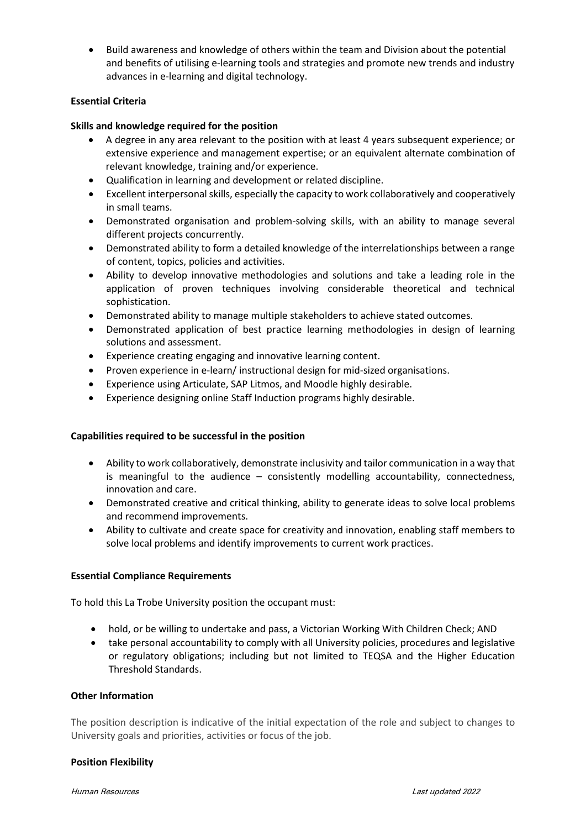• Build awareness and knowledge of others within the team and Division about the potential and benefits of utilising e-learning tools and strategies and promote new trends and industry advances in e-learning and digital technology.

#### **Essential Criteria**

#### **Skills and knowledge required for the position**

- A degree in any area relevant to the position with at least 4 years subsequent experience; or extensive experience and management expertise; or an equivalent alternate combination of relevant knowledge, training and/or experience.
- Qualification in learning and development or related discipline.
- Excellent interpersonal skills, especially the capacity to work collaboratively and cooperatively in small teams.
- Demonstrated organisation and problem-solving skills, with an ability to manage several different projects concurrently.
- Demonstrated ability to form a detailed knowledge of the interrelationships between a range of content, topics, policies and activities.
- Ability to develop innovative methodologies and solutions and take a leading role in the application of proven techniques involving considerable theoretical and technical sophistication.
- Demonstrated ability to manage multiple stakeholders to achieve stated outcomes.
- Demonstrated application of best practice learning methodologies in design of learning solutions and assessment.
- Experience creating engaging and innovative learning content.
- Proven experience in e-learn/ instructional design for mid-sized organisations.
- Experience using Articulate, SAP Litmos, and Moodle highly desirable.
- Experience designing online Staff Induction programs highly desirable.

#### **Capabilities required to be successful in the position**

- Ability to work collaboratively, demonstrate inclusivity and tailor communication in a way that is meaningful to the audience – consistently modelling accountability, connectedness, innovation and care.
- Demonstrated creative and critical thinking, ability to generate ideas to solve local problems and recommend improvements.
- Ability to cultivate and create space for creativity and innovation, enabling staff members to solve local problems and identify improvements to current work practices.

#### **Essential Compliance Requirements**

To hold this La Trobe University position the occupant must:

- hold, or be willing to undertake and pass, a Victorian Working With Children Check; AND
- take personal accountability to comply with all University policies, procedures and legislative or regulatory obligations; including but not limited to TEQSA and the Higher Education Threshold Standards.

#### **Other Information**

The position description is indicative of the initial expectation of the role and subject to changes to University goals and priorities, activities or focus of the job.

#### **Position Flexibility**